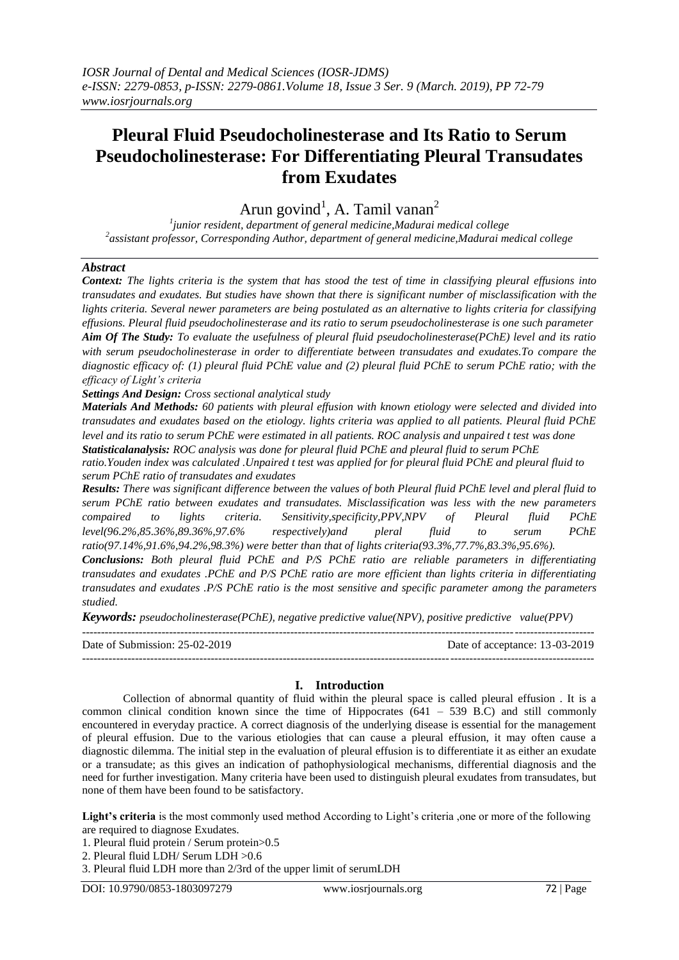# **Pleural Fluid Pseudocholinesterase and Its Ratio to Serum Pseudocholinesterase: For Differentiating Pleural Transudates from Exudates**

Arun govind<sup>1</sup>, A. Tamil vanan<sup>2</sup>

*1 junior resident, department of general medicine,Madurai medical college 2 assistant professor, Corresponding Author, department of general medicine,Madurai medical college*

### *Abstract*

*Context: The lights criteria is the system that has stood the test of time in classifying pleural effusions into transudates and exudates. But studies have shown that there is significant number of misclassification with the lights criteria. Several newer parameters are being postulated as an alternative to lights criteria for classifying effusions. Pleural fluid pseudocholinesterase and its ratio to serum pseudocholinesterase is one such parameter Aim Of The Study: To evaluate the usefulness of pleural fluid pseudocholinesterase(PChE) level and its ratio with serum pseudocholinesterase in order to differentiate between transudates and exudates.To compare the diagnostic efficacy of: (1) pleural fluid PChE value and (2) pleural fluid PChE to serum PChE ratio; with the efficacy of Light's criteria*

*Settings And Design: Cross sectional analytical study*

*Materials And Methods: 60 patients with pleural effusion with known etiology were selected and divided into transudates and exudates based on the etiology. lights criteria was applied to all patients. Pleural fluid PChE level and its ratio to serum PChE were estimated in all patients. ROC analysis and unpaired t test was done Statisticalanalysis: ROC analysis was done for pleural fluid PChE and pleural fluid to serum PChE* 

*ratio.Youden index was calculated .Unpaired t test was applied for for pleural fluid PChE and pleural fluid to serum PChE ratio of transudates and exudates*

*Results: There was significant difference between the values of both Pleural fluid PChE level and pleral fluid to serum PChE ratio between exudates and transudates. Misclassification was less with the new parameters compaired to lights criteria. Sensitivity,specificity,PPV,NPV of Pleural fluid PChE level(96.2%,85.36%,89.36%,97.6% respectively)and pleral fluid to serum PChE ratio(97.14%,91.6%,94.2%,98.3%) were better than that of lights criteria(93.3%,77.7%,83.3%,95.6%).*

*Conclusions: Both pleural fluid PChE and P/S PChE ratio are reliable parameters in differentiating transudates and exudates .PChE and P/S PChE ratio are more efficient than lights criteria in differentiating transudates and exudates .P/S PChE ratio is the most sensitive and specific parameter among the parameters studied.*

*Keywords: pseudocholinesterase(PChE), negative predictive value(NPV), positive predictive value(PPV)*

--------------------------------------------------------------------------------------------------------------------------------------- Date of Submission: 25-02-2019 Date of acceptance: 13-03-2019

#### **I. Introduction**

Collection of abnormal quantity of fluid within the pleural space is called pleural effusion . It is a common clinical condition known since the time of Hippocrates  $(641 - 539 \text{ B.C})$  and still commonly encountered in everyday practice. A correct diagnosis of the underlying disease is essential for the management of pleural effusion. Due to the various etiologies that can cause a pleural effusion, it may often cause a diagnostic dilemma. The initial step in the evaluation of pleural effusion is to differentiate it as either an exudate or a transudate; as this gives an indication of pathophysiological mechanisms, differential diagnosis and the need for further investigation. Many criteria have been used to distinguish pleural exudates from transudates, but none of them have been found to be satisfactory.

**Light's criteria** is the most commonly used method According to Light's criteria ,one or more of the following are required to diagnose Exudates.

1. Pleural fluid protein / Serum protein>0.5

2. Pleural fluid LDH/ Serum LDH >0.6

3. Pleural fluid LDH more than 2/3rd of the upper limit of serumLDH

---------------------------------------------------------------------------------------------------------------------------------------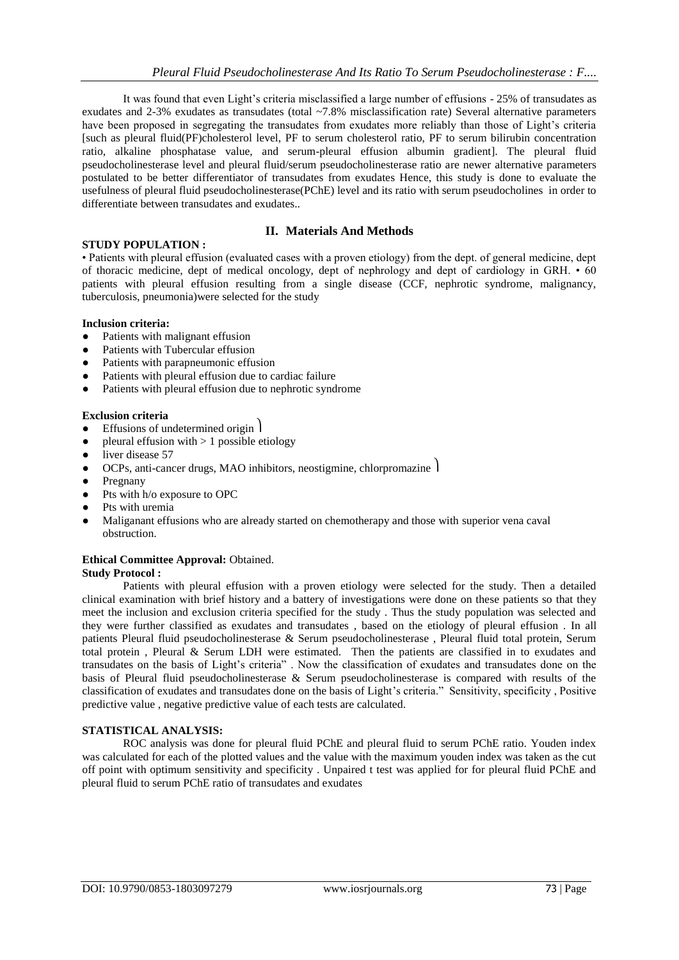It was found that even Light's criteria misclassified a large number of effusions - 25% of transudates as exudates and 2-3% exudates as transudates (total ~7.8% misclassification rate) Several alternative parameters have been proposed in segregating the transudates from exudates more reliably than those of Light's criteria [such as pleural fluid(PF)cholesterol level, PF to serum cholesterol ratio, PF to serum bilirubin concentration ratio, alkaline phosphatase value, and serum-pleural effusion albumin gradient]. The pleural fluid pseudocholinesterase level and pleural fluid/serum pseudocholinesterase ratio are newer alternative parameters postulated to be better differentiator of transudates from exudates Hence, this study is done to evaluate the usefulness of pleural fluid pseudocholinesterase(PChE) level and its ratio with serum pseudocholines in order to differentiate between transudates and exudates..

## **II. Materials And Methods**

## **STUDY POPULATION :**

• Patients with pleural effusion (evaluated cases with a proven etiology) from the dept. of general medicine, dept of thoracic medicine, dept of medical oncology, dept of nephrology and dept of cardiology in GRH. • 60 patients with pleural effusion resulting from a single disease (CCF, nephrotic syndrome, malignancy, tuberculosis, pneumonia)were selected for the study

#### **Inclusion criteria:**

- Patients with malignant effusion
- Patients with Tubercular effusion
- Patients with parapneumonic effusion
- Patients with pleural effusion due to cardiac failure
- Patients with pleural effusion due to nephrotic syndrome

#### **Exclusion criteria**

- **•** Effusions of undetermined origin 1
- pleural effusion with  $> 1$  possible etiology
- **●** liver disease 57
- **•** OCPs, anti-cancer drugs, MAO inhibitors, neostigmine, chlorpromazine  $\vert$
- **●** Pregnany
- **●** Pts with h/o exposure to OPC
- Pts with uremia
- Maliganant effusions who are already started on chemotherapy and those with superior vena caval obstruction.

#### **Ethical Committee Approval:** Obtained.

#### **Study Protocol :**

Patients with pleural effusion with a proven etiology were selected for the study. Then a detailed clinical examination with brief history and a battery of investigations were done on these patients so that they meet the inclusion and exclusion criteria specified for the study . Thus the study population was selected and they were further classified as exudates and transudates , based on the etiology of pleural effusion . In all patients Pleural fluid pseudocholinesterase & Serum pseudocholinesterase , Pleural fluid total protein, Serum total protein , Pleural & Serum LDH were estimated. Then the patients are classified in to exudates and transudates on the basis of Light's criteria" . Now the classification of exudates and transudates done on the basis of Pleural fluid pseudocholinesterase & Serum pseudocholinesterase is compared with results of the classification of exudates and transudates done on the basis of Light's criteria." Sensitivity, specificity , Positive predictive value , negative predictive value of each tests are calculated.

#### **STATISTICAL ANALYSIS:**

ROC analysis was done for pleural fluid PChE and pleural fluid to serum PChE ratio. Youden index was calculated for each of the plotted values and the value with the maximum youden index was taken as the cut off point with optimum sensitivity and specificity . Unpaired t test was applied for for pleural fluid PChE and pleural fluid to serum PChE ratio of transudates and exudates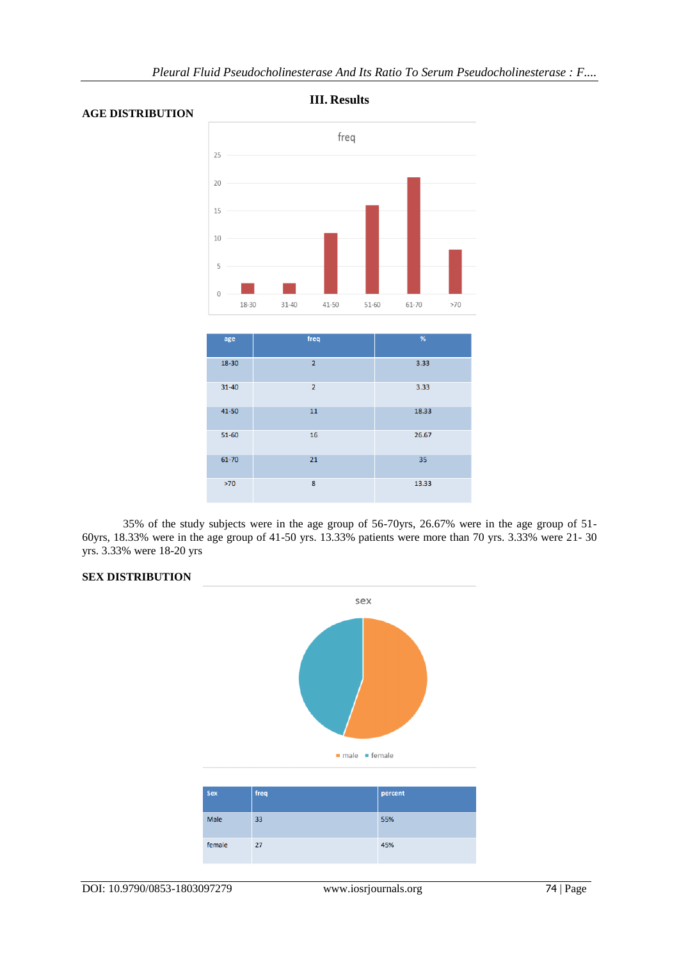

**III. Results**

#### **AGE DISTRIBUTION**

| age       | freq           | %     |
|-----------|----------------|-------|
| 18-30     | $\overline{2}$ | 3.33  |
| $31 - 40$ | $\overline{2}$ | 3.33  |
| 41-50     | 11             | 18.33 |
| 51-60     | 16             | 26.67 |
| 61-70     | 21             | 35    |
| $>70$     | 8              | 13.33 |

35% of the study subjects were in the age group of 56-70yrs, 26.67% were in the age group of 51- 60yrs, 18.33% were in the age group of 41-50 yrs. 13.33% patients were more than 70 yrs. 3.33% were 21- 30 yrs. 3.33% were 18-20 yrs

#### **SEX DISTRIBUTION**



| Sex    | freq | percent |
|--------|------|---------|
| Male   | 33   | 55%     |
| female | 27   | 45%     |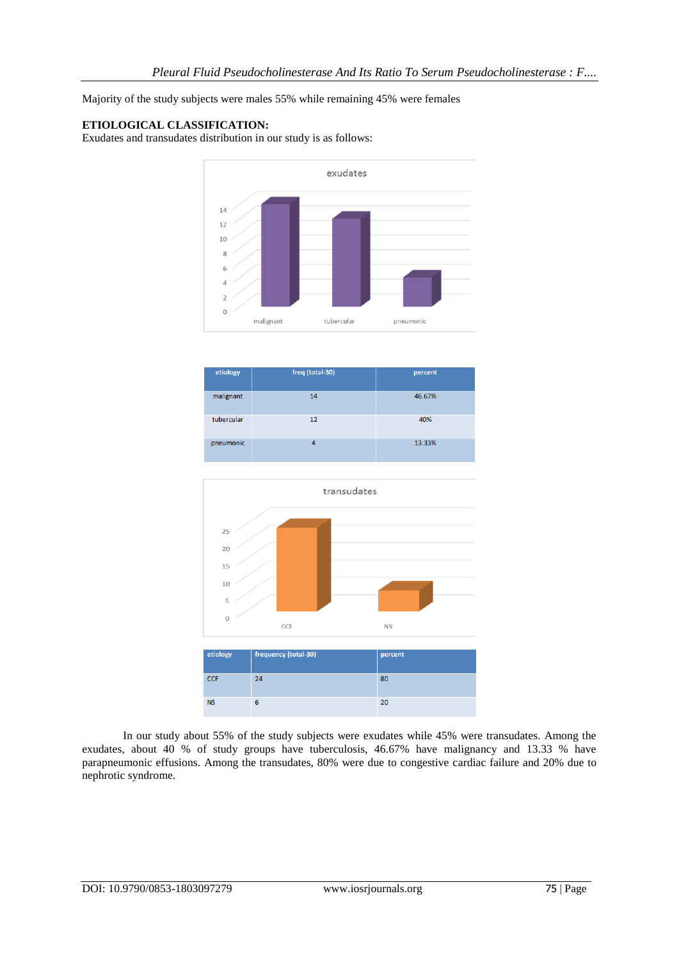Majority of the study subjects were males 55% while remaining 45% were females

#### **ETIOLOGICAL CLASSIFICATION:**

Exudates and transudates distribution in our study is as follows:



| etiology   | freq (total-30) | percent |
|------------|-----------------|---------|
| malignant  | 14              | 46.67%  |
| tubercular | 12              | 40%     |
| pneumonic  | 4               | 13.33%  |



In our study about 55% of the study subjects were exudates while 45% were transudates. Among the exudates, about 40 % of study groups have tuberculosis, 46.67% have malignancy and 13.33 % have parapneumonic effusions. Among the transudates, 80% were due to congestive cardiac failure and 20% due to nephrotic syndrome.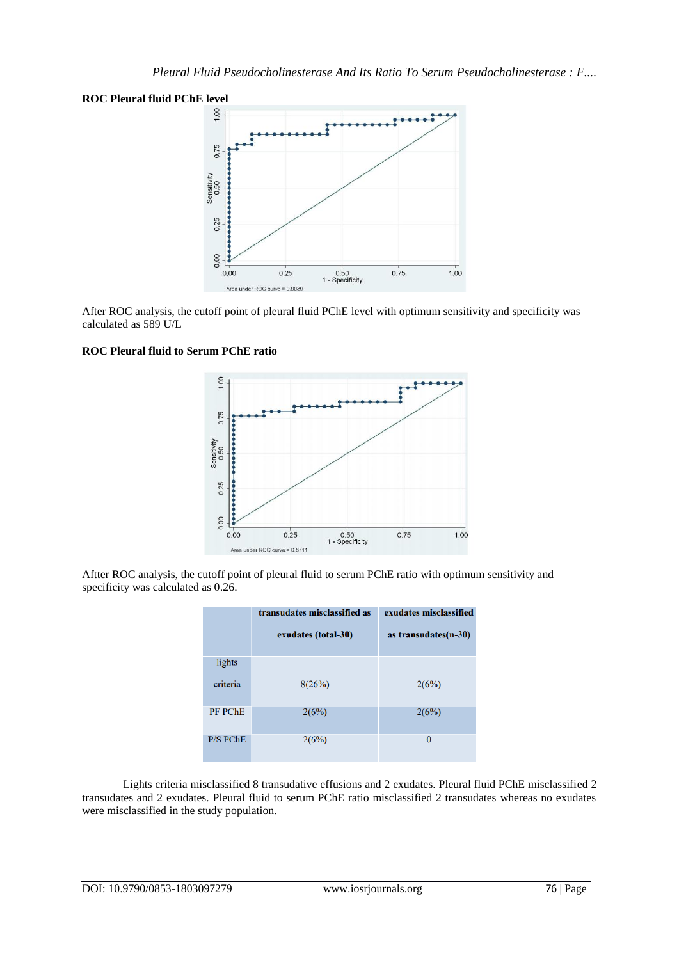#### **ROC Pleural fluid PChE level**



After ROC analysis, the cutoff point of pleural fluid PChE level with optimum sensitivity and specificity was calculated as 589 U/L

## **ROC Pleural fluid to Serum PChE ratio**



Aftter ROC analysis, the cutoff point of pleural fluid to serum PChE ratio with optimum sensitivity and specificity was calculated as 0.26.

|                 | transudates misclassified as | exudates misclassified |
|-----------------|------------------------------|------------------------|
|                 | exudates (total-30)          | as transudates(n-30)   |
| lights          |                              |                        |
| criteria        | 8(26%)                       | 2(6%)                  |
| <b>PF PChE</b>  | 2(6%)                        | 2(6%)                  |
| <b>P/S PChE</b> | 2(6%)                        | 0                      |

Lights criteria misclassified 8 transudative effusions and 2 exudates. Pleural fluid PChE misclassified 2 transudates and 2 exudates. Pleural fluid to serum PChE ratio misclassified 2 transudates whereas no exudates were misclassified in the study population.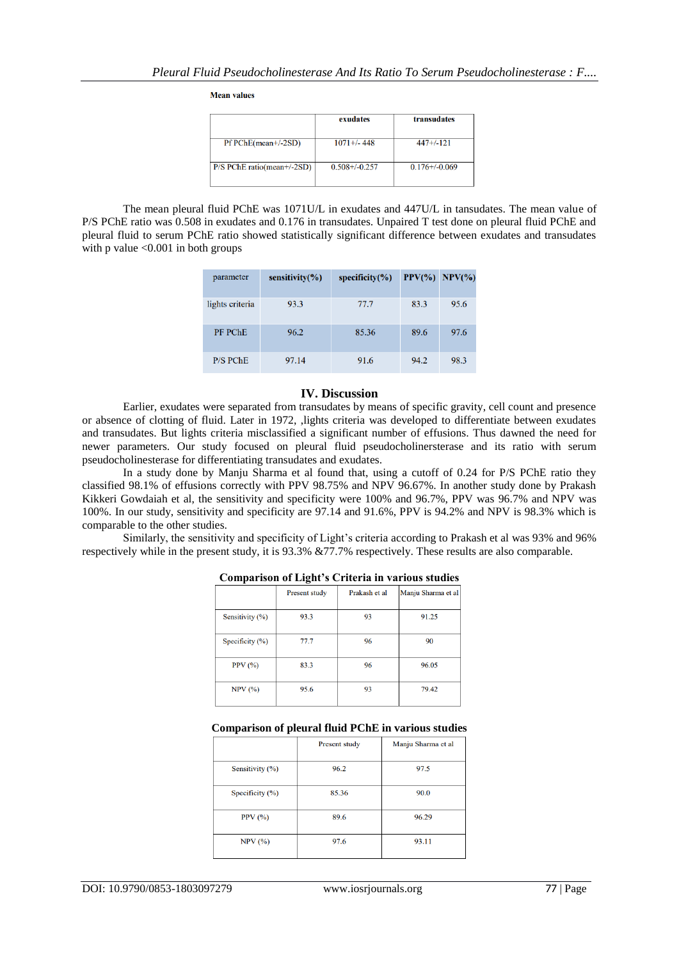**Mean values** 

|                              | exudates           | transudates        |
|------------------------------|--------------------|--------------------|
| $Pf PChE(mean+/2SD)$         | $1071 + 448$       | $447+/-121$        |
| $P/S$ PChE ratio(mean+/-2SD) | $0.508 + / -0.257$ | $0.176 + (-0.069)$ |

The mean pleural fluid PChE was 1071U/L in exudates and 447U/L in tansudates. The mean value of P/S PChE ratio was 0.508 in exudates and 0.176 in transudates. Unpaired T test done on pleural fluid PChE and pleural fluid to serum PChE ratio showed statistically significant difference between exudates and transudates with p value  $\leq 0.001$  in both groups

| parameter       | sensitivity $(\% )$ | specificity $(\% )$ | $PPV(\% )$ | $NPV(\%)$ |
|-----------------|---------------------|---------------------|------------|-----------|
| lights criteria | 93.3                | 77.7                | 83.3       | 95.6      |
| PF PChE         | 96.2                | 85.36               | 89.6       | 97.6      |
| <b>P/S PChE</b> | 97.14               | 91.6                | 94.2       | 98.3      |

#### **IV. Discussion**

Earlier, exudates were separated from transudates by means of specific gravity, cell count and presence or absence of clotting of fluid. Later in 1972, ,lights criteria was developed to differentiate between exudates and transudates. But lights criteria misclassified a significant number of effusions. Thus dawned the need for newer parameters. Our study focused on pleural fluid pseudocholinersterase and its ratio with serum pseudocholinesterase for differentiating transudates and exudates.

In a study done by Manju Sharma et al found that, using a cutoff of 0.24 for P/S PChE ratio they classified 98.1% of effusions correctly with PPV 98.75% and NPV 96.67%. In another study done by Prakash Kikkeri Gowdaiah et al, the sensitivity and specificity were 100% and 96.7%, PPV was 96.7% and NPV was 100%. In our study, sensitivity and specificity are 97.14 and 91.6%, PPV is 94.2% and NPV is 98.3% which is comparable to the other studies.

Similarly, the sensitivity and specificity of Light's criteria according to Prakash et al was 93% and 96% respectively while in the present study, it is 93.3% &77.7% respectively. These results are also comparable.

| $- - - - - -$       |               |               |                    |
|---------------------|---------------|---------------|--------------------|
|                     | Present study | Prakash et al | Manju Sharma et al |
| Sensitivity (%)     | 93.3          | 93            | 91.25              |
| Specificity $(\% )$ | 77.7          | 96            | 90                 |
| PPV(%)              | 83.3          | 96            | 96.05              |
| $NPV$ $(\%)$        | 95.6          | 93            | 79.42              |

#### **Comparison of Light's Criteria in various studies**

#### **Comparison of pleural fluid PChE in various studies**

|                     | <b>Present study</b> | Manju Sharma et al |
|---------------------|----------------------|--------------------|
| Sensitivity (%)     | 96.2                 | 97.5               |
| Specificity $(\% )$ | 85.36                | 90.0               |
| PPV(%)              | 89.6                 | 96.29              |
| NPV(%)              | 97.6                 | 93.11              |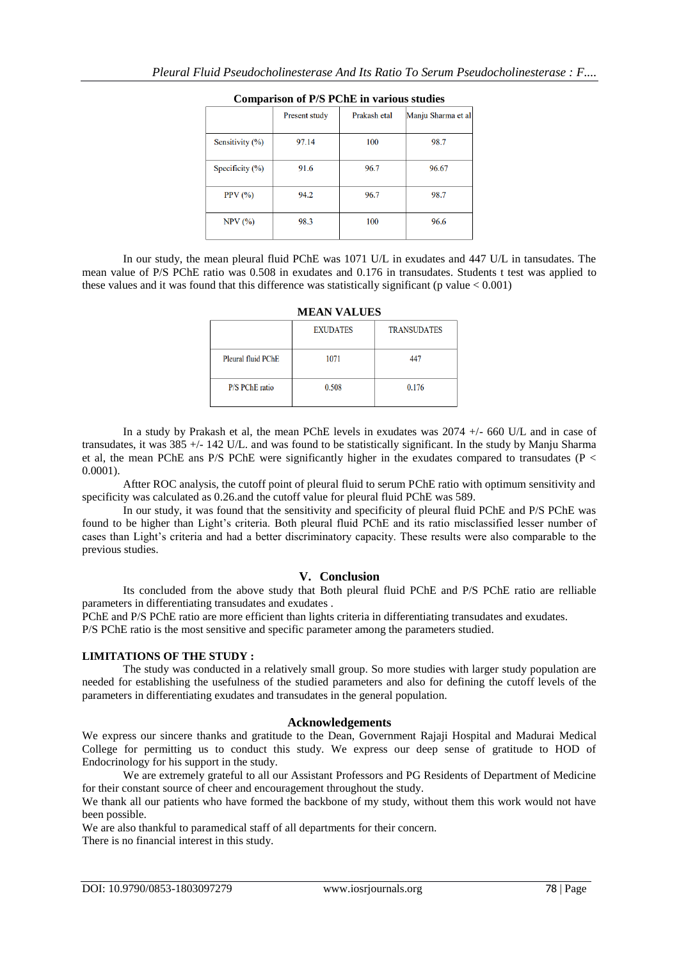|                     | Present study | Prakash etal | Manju Sharma et al |
|---------------------|---------------|--------------|--------------------|
| Sensitivity (%)     | 97.14         | 100          | 98.7               |
| Specificity $(\% )$ | 91.6          | 96.7         | 96.67              |
| PPV(%)              | 94.2          | 96.7         | 98.7               |
| $NPV$ $(\%)$        | 98.3          | 100          | 96.6               |

#### **Comparison of P/S PChE in various studies**

In our study, the mean pleural fluid PChE was 1071 U/L in exudates and 447 U/L in tansudates. The mean value of P/S PChE ratio was 0.508 in exudates and 0.176 in transudates. Students t test was applied to these values and it was found that this difference was statistically significant (p value  $< 0.001$ )

|                       | <b>EXUDATES</b> | <b>TRANSUDATES</b> |
|-----------------------|-----------------|--------------------|
| Pleural fluid PChE    | 1071            | 447                |
| <b>P/S PChE</b> ratio | 0.508           | 0.176              |

**MEAN VALUES**

In a study by Prakash et al, the mean PChE levels in exudates was 2074  $+/-$  660 U/L and in case of transudates, it was 385 +/- 142 U/L. and was found to be statistically significant. In the study by Manju Sharma et al, the mean PChE ans P/S PChE were significantly higher in the exudates compared to transudates (P < 0.0001).

Aftter ROC analysis, the cutoff point of pleural fluid to serum PChE ratio with optimum sensitivity and specificity was calculated as 0.26.and the cutoff value for pleural fluid PChE was 589.

In our study, it was found that the sensitivity and specificity of pleural fluid PChE and P/S PChE was found to be higher than Light's criteria. Both pleural fluid PChE and its ratio misclassified lesser number of cases than Light's criteria and had a better discriminatory capacity. These results were also comparable to the previous studies.

#### **V. Conclusion**

Its concluded from the above study that Both pleural fluid PChE and P/S PChE ratio are relliable parameters in differentiating transudates and exudates .

PChE and P/S PChE ratio are more efficient than lights criteria in differentiating transudates and exudates. P/S PChE ratio is the most sensitive and specific parameter among the parameters studied.

#### **LIMITATIONS OF THE STUDY :**

The study was conducted in a relatively small group. So more studies with larger study population are needed for establishing the usefulness of the studied parameters and also for defining the cutoff levels of the parameters in differentiating exudates and transudates in the general population.

#### **Acknowledgements**

We express our sincere thanks and gratitude to the Dean, Government Rajaji Hospital and Madurai Medical College for permitting us to conduct this study. We express our deep sense of gratitude to HOD of Endocrinology for his support in the study.

We are extremely grateful to all our Assistant Professors and PG Residents of Department of Medicine for their constant source of cheer and encouragement throughout the study.

We thank all our patients who have formed the backbone of my study, without them this work would not have been possible.

We are also thankful to paramedical staff of all departments for their concern. There is no financial interest in this study.